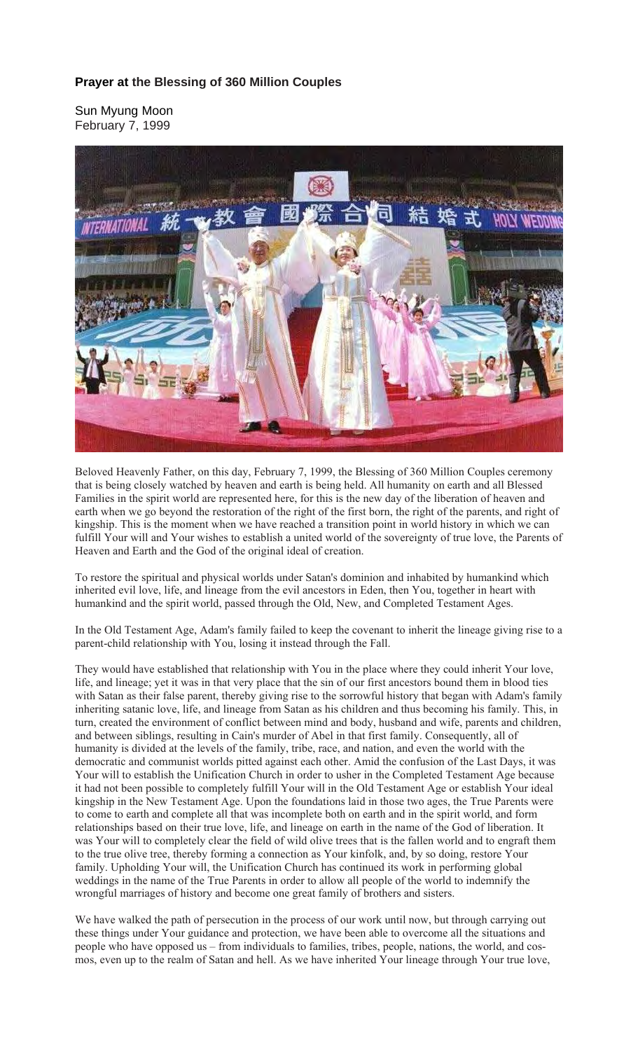## **Prayer at the Blessing of 360 Million Couples**

Sun Myung Moon February 7, 1999



Beloved Heavenly Father, on this day, February 7, 1999, the Blessing of 360 Million Couples ceremony that is being closely watched by heaven and earth is being held. All humanity on earth and all Blessed Families in the spirit world are represented here, for this is the new day of the liberation of heaven and earth when we go beyond the restoration of the right of the first born, the right of the parents, and right of kingship. This is the moment when we have reached a transition point in world history in which we can fulfill Your will and Your wishes to establish a united world of the sovereignty of true love, the Parents of Heaven and Earth and the God of the original ideal of creation.

To restore the spiritual and physical worlds under Satan's dominion and inhabited by humankind which inherited evil love, life, and lineage from the evil ancestors in Eden, then You, together in heart with humankind and the spirit world, passed through the Old, New, and Completed Testament Ages.

In the Old Testament Age, Adam's family failed to keep the covenant to inherit the lineage giving rise to a parent-child relationship with You, losing it instead through the Fall.

They would have established that relationship with You in the place where they could inherit Your love, life, and lineage; yet it was in that very place that the sin of our first ancestors bound them in blood ties with Satan as their false parent, thereby giving rise to the sorrowful history that began with Adam's family inheriting satanic love, life, and lineage from Satan as his children and thus becoming his family. This, in turn, created the environment of conflict between mind and body, husband and wife, parents and children, and between siblings, resulting in Cain's murder of Abel in that first family. Consequently, all of humanity is divided at the levels of the family, tribe, race, and nation, and even the world with the democratic and communist worlds pitted against each other. Amid the confusion of the Last Days, it was Your will to establish the Unification Church in order to usher in the Completed Testament Age because it had not been possible to completely fulfill Your will in the Old Testament Age or establish Your ideal kingship in the New Testament Age. Upon the foundations laid in those two ages, the True Parents were to come to earth and complete all that was incomplete both on earth and in the spirit world, and form relationships based on their true love, life, and lineage on earth in the name of the God of liberation. It was Your will to completely clear the field of wild olive trees that is the fallen world and to engraft them to the true olive tree, thereby forming a connection as Your kinfolk, and, by so doing, restore Your family. Upholding Your will, the Unification Church has continued its work in performing global weddings in the name of the True Parents in order to allow all people of the world to indemnify the wrongful marriages of history and become one great family of brothers and sisters.

We have walked the path of persecution in the process of our work until now, but through carrying out these things under Your guidance and protection, we have been able to overcome all the situations and people who have opposed us – from individuals to families, tribes, people, nations, the world, and cosmos, even up to the realm of Satan and hell. As we have inherited Your lineage through Your true love,